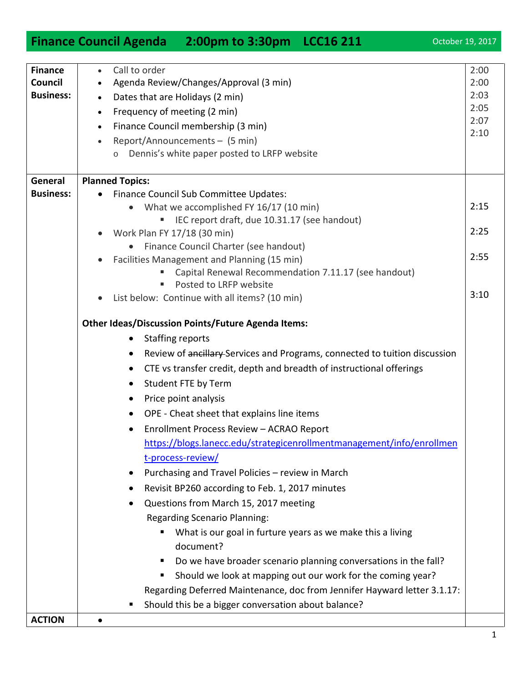|                           | Finance Council Agenda 2:00pm to 3:30pm LCC16 211                                       | October 19, 2017 |
|---------------------------|-----------------------------------------------------------------------------------------|------------------|
|                           |                                                                                         |                  |
| <b>Finance</b><br>Council | Call to order<br>$\bullet$                                                              | 2:00<br>2:00     |
| <b>Business:</b>          | Agenda Review/Changes/Approval (3 min)                                                  | 2:03             |
|                           | Dates that are Holidays (2 min)<br>$\bullet$                                            | 2:05             |
|                           | Frequency of meeting (2 min)<br>$\bullet$                                               | 2:07             |
|                           | Finance Council membership (3 min)<br>$\bullet$                                         | 2:10             |
|                           | Report/Announcements - (5 min)<br>$\bullet$                                             |                  |
|                           | Dennis's white paper posted to LRFP website                                             |                  |
| General                   | <b>Planned Topics:</b>                                                                  |                  |
| <b>Business:</b>          | Finance Council Sub Committee Updates:                                                  |                  |
|                           | What we accomplished FY 16/17 (10 min)<br>$\bullet$                                     | 2:15             |
|                           | IEC report draft, due 10.31.17 (see handout)                                            |                  |
|                           | Work Plan FY 17/18 (30 min)                                                             | 2:25             |
|                           | Finance Council Charter (see handout)                                                   |                  |
|                           | Facilities Management and Planning (15 min)                                             | 2:55             |
|                           | Capital Renewal Recommendation 7.11.17 (see handout)                                    |                  |
|                           | Posted to LRFP website<br>٠<br>List below: Continue with all items? (10 min)            | 3:10             |
|                           |                                                                                         |                  |
|                           | <b>Other Ideas/Discussion Points/Future Agenda Items:</b>                               |                  |
|                           | <b>Staffing reports</b><br>$\bullet$                                                    |                  |
|                           | Review of ancillary Services and Programs, connected to tuition discussion<br>$\bullet$ |                  |
|                           | CTE vs transfer credit, depth and breadth of instructional offerings<br>$\bullet$       |                  |
|                           | Student FTE by Term<br>$\bullet$                                                        |                  |
|                           | Price point analysis<br>$\bullet$                                                       |                  |
|                           | OPE - Cheat sheet that explains line items                                              |                  |
|                           | Enrollment Process Review - ACRAO Report                                                |                  |
|                           | https://blogs.lanecc.edu/strategicenrollmentmanagement/info/enrollmen                   |                  |
|                           | t-process-review/                                                                       |                  |
|                           | Purchasing and Travel Policies - review in March<br>$\bullet$                           |                  |
|                           | Revisit BP260 according to Feb. 1, 2017 minutes                                         |                  |
|                           | Questions from March 15, 2017 meeting<br>$\bullet$                                      |                  |
|                           | <b>Regarding Scenario Planning:</b>                                                     |                  |
|                           | What is our goal in furture years as we make this a living<br>document?                 |                  |
|                           |                                                                                         |                  |
|                           | Do we have broader scenario planning conversations in the fall?<br>п                    |                  |
|                           | Should we look at mapping out our work for the coming year?<br>п                        |                  |
|                           | Regarding Deferred Maintenance, doc from Jennifer Hayward letter 3.1.17:                |                  |
|                           | Should this be a bigger conversation about balance?                                     |                  |
| <b>ACTION</b>             |                                                                                         |                  |